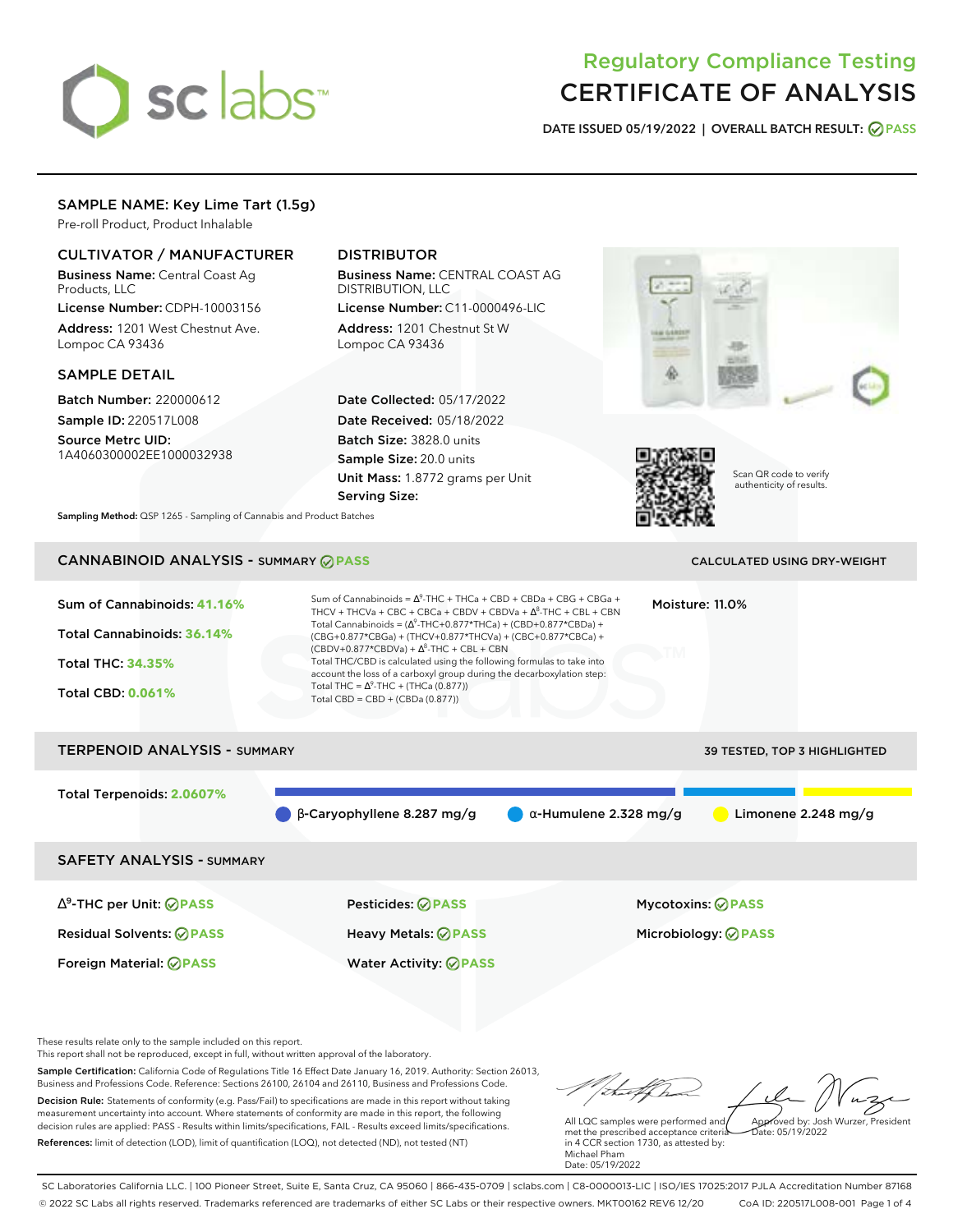# sclabs<sup>\*</sup>

# Regulatory Compliance Testing CERTIFICATE OF ANALYSIS

**DATE ISSUED 05/19/2022 | OVERALL BATCH RESULT: PASS**

# SAMPLE NAME: Key Lime Tart (1.5g)

Pre-roll Product, Product Inhalable

## CULTIVATOR / MANUFACTURER

Business Name: Central Coast Ag Products, LLC

License Number: CDPH-10003156 Address: 1201 West Chestnut Ave. Lompoc CA 93436

#### SAMPLE DETAIL

Batch Number: 220000612 Sample ID: 220517L008

Source Metrc UID: 1A4060300002EE1000032938

# DISTRIBUTOR

Business Name: CENTRAL COAST AG DISTRIBUTION, LLC

License Number: C11-0000496-LIC Address: 1201 Chestnut St W Lompoc CA 93436

Date Collected: 05/17/2022 Date Received: 05/18/2022 Batch Size: 3828.0 units Sample Size: 20.0 units Unit Mass: 1.8772 grams per Unit Serving Size:





Scan QR code to verify authenticity of results.

**Sampling Method:** QSP 1265 - Sampling of Cannabis and Product Batches

# **CANNABINOID ANALYSIS - SUMMARY @ PASS** CALCULATED USING DRY-WEIGHT

### Sum of Cannabinoids: **41.16%** Total Cannabinoids: **36.14%** Total THC: **34.35%** Total CBD: **0.061%** Sum of Cannabinoids =  $\Delta^9$ -THC + THCa + CBD + CBDa + CBG + CBGa + THCV + THCVa + CBC + CBCa + CBDV + CBDVa +  $\Delta^8$ -THC + CBL + CBN Total Cannabinoids = ( $\Delta^9$ -THC+0.877\*THCa) + (CBD+0.877\*CBDa) + (CBG+0.877\*CBGa) + (THCV+0.877\*THCVa) + (CBC+0.877\*CBCa) +  $(CBDV+0.877*CBDVa) + \Delta^8$ -THC + CBL + CBN Total THC/CBD is calculated using the following formulas to take into account the loss of a carboxyl group during the decarboxylation step: Total THC =  $\Delta^9$ -THC + (THCa (0.877)) Total CBD = CBD + (CBDa (0.877)) Moisture: 11.0% TERPENOID ANALYSIS - SUMMARY 39 TESTED, TOP 3 HIGHLIGHTED Total Terpenoids: **2.0607%** β-Caryophyllene 8.287 mg/g α-Humulene 2.328 mg/g Limonene 2.248 mg/g SAFETY ANALYSIS - SUMMARY ∆ 9 -THC per Unit: **PASS** Pesticides: **PASS** Mycotoxins: **PASS** Residual Solvents: **PASS** Heavy Metals: **PASS** Microbiology: **PASS**

These results relate only to the sample included on this report.

This report shall not be reproduced, except in full, without written approval of the laboratory.

Sample Certification: California Code of Regulations Title 16 Effect Date January 16, 2019. Authority: Section 26013, Business and Professions Code. Reference: Sections 26100, 26104 and 26110, Business and Professions Code. Decision Rule: Statements of conformity (e.g. Pass/Fail) to specifications are made in this report without taking measurement uncertainty into account. Where statements of conformity are made in this report, the following decision rules are applied: PASS - Results within limits/specifications, FAIL - Results exceed limits/specifications.

Foreign Material: **PASS** Water Activity: **PASS**

References: limit of detection (LOD), limit of quantification (LOQ), not detected (ND), not tested (NT)

Approved by: Josh Wurzer, President

Date: 05/19/2022

All LQC samples were performed and met the prescribed acceptance criteria in 4 CCR section 1730, as attested by: Michael Pham Date: 05/19/2022

SC Laboratories California LLC. | 100 Pioneer Street, Suite E, Santa Cruz, CA 95060 | 866-435-0709 | sclabs.com | C8-0000013-LIC | ISO/IES 17025:2017 PJLA Accreditation Number 87168 © 2022 SC Labs all rights reserved. Trademarks referenced are trademarks of either SC Labs or their respective owners. MKT00162 REV6 12/20 CoA ID: 220517L008-001 Page 1 of 4